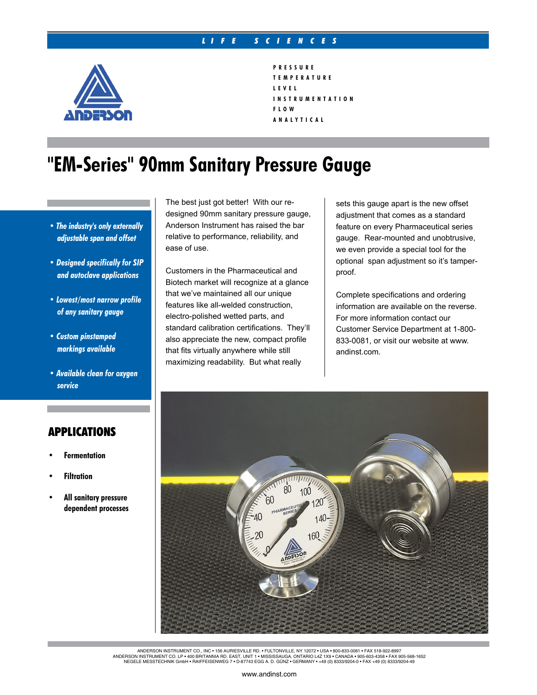#### *L I F E S C I E N C E S*



```
P R E S S U R E
T E M P E R A T U R E
L E V E L
I N S T R U M E N T A T I O N
F L O W
A N A L Y T I C A L
```
## **"EM-Series" 90mm Sanitary Pressure Gauge**

- *The industry's only externally adjustable span and offset*
- *Designed specifically for SIP and autoclave applications*
- *Lowest/most narrow profile of any sanitary gauge*
- *Custom pinstamped markings available*
- *Available clean for oxygen service*

### APPLICATIONS

- **• Fermentation**
- **• Filtration**
- **• All sanitary pressure dependent processes**

The best just got better! With our redesigned 90mm sanitary pressure gauge, Anderson Instrument has raised the bar relative to performance, reliability, and ease of use.

Customers in the Pharmaceutical and Biotech market will recognize at a glance that we've maintained all our unique features like all-welded construction, electro-polished wetted parts, and standard calibration certifications. They'll also appreciate the new, compact profile that fits virtually anywhere while still maximizing readability. But what really

sets this gauge apart is the new offset adjustment that comes as a standard feature on every Pharmaceutical series gauge. Rear-mounted and unobtrusive, we even provide a special tool for the optional span adjustment so it's tamperproof.

Complete specifications and ordering information are available on the reverse. For more information contact our Customer Service Department at 1-800- 833-0081, or visit our website at www. andinst.com.



ANDERSON INSTRUMENT CO., INC ∙ 156 AURIESVILLE RD. ∙ FULTONVILLE, NY 12072 ∙ USA ∙ 800-833-0081 ∙ FAX 518-922-8997<br>ANDERSON INSTRUMENT CO. LP ∙ 400 BRITANNIA RD. EAST, UNIT 1 ∙ MISSISSAUGA, ONTARIO L4Z 1X9 ∙ CANADA ∙ 905-NEGELE MESSTECHNIK GmbH • Raiffeisenweg 7 • D-87743 Egg a. d. Günz • GERMANY • +49 (0) 8333/9204-0 • FAX +49 (0) 8333/9204-49

#### www.andinst.com